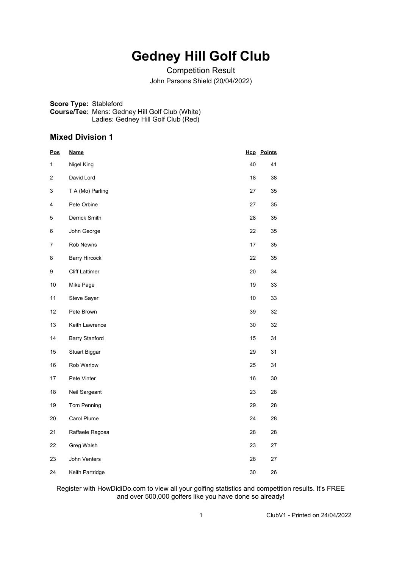# **Gedney Hill Golf Club**

Competition Result John Parsons Shield (20/04/2022)

**Score Type:** Stableford **Course/Tee:** Mens: Gedney Hill Golf Club (White) Ladies: Gedney Hill Golf Club (Red)

### **Mixed Division 1**

| <u>Pos</u> | <u>Name</u>           |    | <b>Hcp</b> Points |
|------------|-----------------------|----|-------------------|
| 1          | Nigel King            | 40 | 41                |
| 2          | David Lord            | 18 | 38                |
| 3          | T A (Mo) Parling      | 27 | 35                |
| 4          | Pete Orbine           | 27 | 35                |
| 5          | Derrick Smith         | 28 | 35                |
| 6          | John George           | 22 | 35                |
| 7          | Rob Newns             | 17 | 35                |
| 8          | <b>Barry Hircock</b>  | 22 | 35                |
| 9          | <b>Cliff Lattimer</b> | 20 | 34                |
| 10         | Mike Page             | 19 | 33                |
| 11         | Steve Sayer           | 10 | 33                |
| 12         | Pete Brown            | 39 | 32                |
| 13         | Keith Lawrence        | 30 | 32                |
| 14         | <b>Barry Stanford</b> | 15 | 31                |
| 15         | <b>Stuart Biggar</b>  | 29 | 31                |
| 16         | Rob Warlow            | 25 | 31                |
| 17         | Pete Vinter           | 16 | 30                |
| 18         | Neil Sargeant         | 23 | 28                |
| 19         | Tom Penning           | 29 | 28                |
| 20         | Carol Plume           | 24 | 28                |
| 21         | Raffaele Ragosa       | 28 | 28                |
| 22         | Greg Walsh            | 23 | 27                |
| 23         | John Venters          | 28 | 27                |
| 24         | Keith Partridge       | 30 | 26                |

Register with HowDidiDo.com to view all your golfing statistics and competition results. It's FREE and over 500,000 golfers like you have done so already!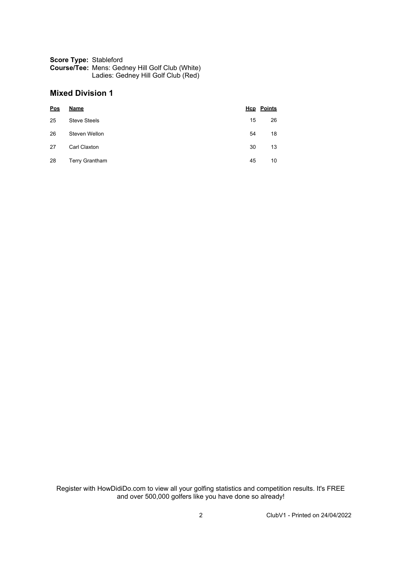#### **Score Type:** Stableford **Course/Tee:** Mens: Gedney Hill Golf Club (White) Ladies: Gedney Hill Golf Club (Red)

## **Mixed Division 1**

| Pos | <b>Name</b>           |    | <b>Hcp</b> Points |
|-----|-----------------------|----|-------------------|
| 25  | <b>Steve Steels</b>   | 15 | 26                |
| 26  | Steven Wellon         | 54 | 18                |
| 27  | Carl Claxton          | 30 | 13                |
| 28  | <b>Terry Grantham</b> | 45 | 10                |

Register with HowDidiDo.com to view all your golfing statistics and competition results. It's FREE and over 500,000 golfers like you have done so already!